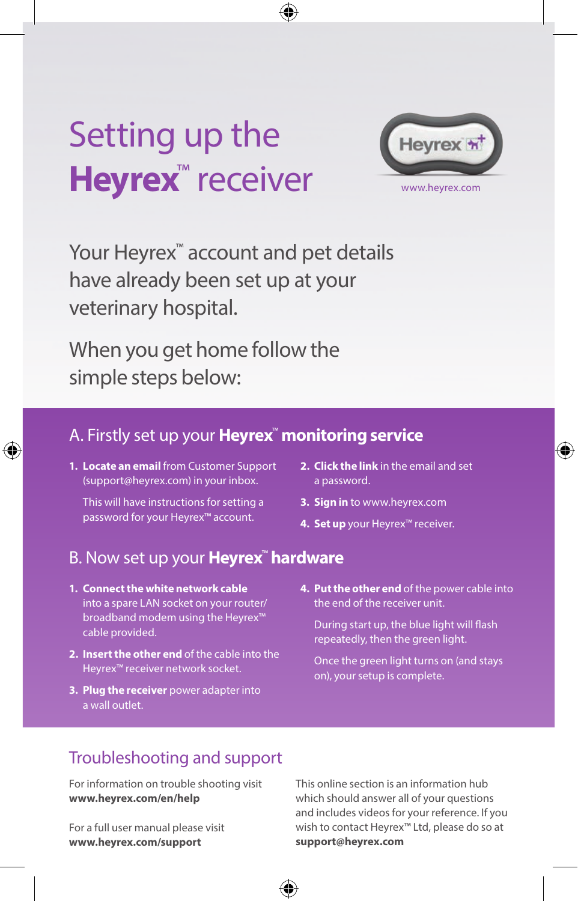# Setting up the **Heyrex**™ receiver



◈

Your Heyrex™ account and pet details have already been set up at your veterinary hospital.

When you get home follow the simple steps below:

# A. Firstly set up your **Heyrex**™ **monitoring service**

**1. Locate an email** from Customer Support (support@heyrex.com) in your inbox.

This will have instructions for setting a password for your Heyrex™ account.

- **2. Click the link** in the email and set a password.
- **3. Sign in** to www.heyrex.com
- **4. Set up** your Heyrex™ receiver.

# B. Now set up your **Heyrex**™ **hardware**

- **1. Connect the white network cable** into a spare LAN socket on your router/ broadband modem using the Heyrex™ cable provided.
- **2. Insert the other end** of the cable into the Heyrex™ receiver network socket.
- **3. Plug the receiver** power adapter into a wall outlet.
- **4. Put the other end** of the power cable into the end of the receiver unit.

During start up, the blue light will flash repeatedly, then the green light.

Once the green light turns on (and stays on), your setup is complete.

# Troubleshooting and support

For information on trouble shooting visit **www.heyrex.com/en/help**

For a full user manual please visit **www.heyrex.com/support**

This online section is an information hub which should answer all of your questions and includes videos for your reference. If you wish to contact Heyrex™ Ltd, please do so at **support@heyrex.com**